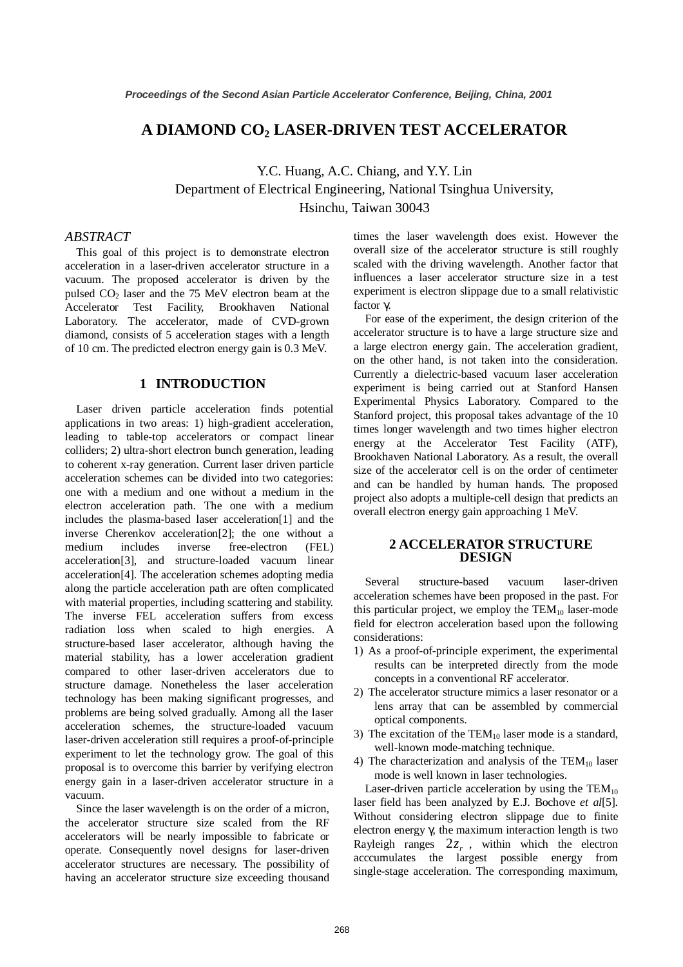# **A DIAMOND CO2 LASER-DRIVEN TEST ACCELERATOR**

Y.C. Huang, A.C. Chiang, and Y.Y. Lin Department of Electrical Engineering, National Tsinghua University, Hsinchu, Taiwan 30043

# *ABSTRACT*

This goal of this project is to demonstrate electron acceleration in a laser-driven accelerator structure in a vacuum. The proposed accelerator is driven by the pulsed  $CO<sub>2</sub>$  laser and the 75 MeV electron beam at the Accelerator Test Facility, Brookhaven National Laboratory. The accelerator, made of CVD-grown diamond, consists of 5 acceleration stages with a length of 10 cm. The predicted electron energy gain is 0.3 MeV.

## **1 INTRODUCTION**

Laser driven particle acceleration finds potential applications in two areas: 1) high-gradient acceleration, leading to table-top accelerators or compact linear colliders; 2) ultra-short electron bunch generation, leading to coherent x-ray generation. Current laser driven particle acceleration schemes can be divided into two categories: one with a medium and one without a medium in the electron acceleration path. The one with a medium includes the plasma-based laser acceleration[1] and the inverse Cherenkov acceleration[2]; the one without a medium includes inverse free-electron (FEL) acceleration[3], and structure-loaded vacuum linear acceleration[4]. The acceleration schemes adopting media along the particle acceleration path are often complicated with material properties, including scattering and stability. The inverse FEL acceleration suffers from excess radiation loss when scaled to high energies. A structure-based laser accelerator, although having the material stability, has a lower acceleration gradient compared to other laser-driven accelerators due to structure damage. Nonetheless the laser acceleration technology has been making significant progresses, and problems are being solved gradually. Among all the laser acceleration schemes, the structure-loaded vacuum laser-driven acceleration still requires a proof-of-principle experiment to let the technology grow. The goal of this proposal is to overcome this barrier by verifying electron energy gain in a laser-driven accelerator structure in a vacuum.

Since the laser wavelength is on the order of a micron, the accelerator structure size scaled from the RF accelerators will be nearly impossible to fabricate or operate. Consequently novel designs for laser-driven accelerator structures are necessary. The possibility of having an accelerator structure size exceeding thousand

times the laser wavelength does exist. However the overall size of the accelerator structure is still roughly scaled with the driving wavelength. Another factor that influences a laser accelerator structure size in a test experiment is electron slippage due to a small relativistic factor γ.

For ease of the experiment, the design criterion of the accelerator structure is to have a large structure size and a large electron energy gain. The acceleration gradient, on the other hand, is not taken into the consideration. Currently a dielectric-based vacuum laser acceleration experiment is being carried out at Stanford Hansen Experimental Physics Laboratory. Compared to the Stanford project, this proposal takes advantage of the 10 times longer wavelength and two times higher electron energy at the Accelerator Test Facility (ATF), Brookhaven National Laboratory. As a result, the overall size of the accelerator cell is on the order of centimeter and can be handled by human hands. The proposed project also adopts a multiple-cell design that predicts an overall electron energy gain approaching 1 MeV.

## **2 ACCELERATOR STRUCTURE DESIGN**

Several structure-based vacuum laser-driven acceleration schemes have been proposed in the past. For this particular project, we employ the  $TEM_{10}$  laser-mode field for electron acceleration based upon the following considerations:

- 1) As a proof-of-principle experiment, the experimental results can be interpreted directly from the mode concepts in a conventional RF accelerator.
- 2) The accelerator structure mimics a laser resonator or a lens array that can be assembled by commercial optical components.
- 3) The excitation of the  $TEM_{10}$  laser mode is a standard, well-known mode-matching technique.
- 4) The characterization and analysis of the  $TEM_{10}$  laser mode is well known in laser technologies.

Laser-driven particle acceleration by using the  $TEM_{10}$ laser field has been analyzed by E.J. Bochove *et al*[5]. Without considering electron slippage due to finite electron energy γ, the maximum interaction length is two Rayleigh ranges  $2z_r$ , within which the electron acccumulates the largest possible energy from single-stage acceleration. The corresponding maximum,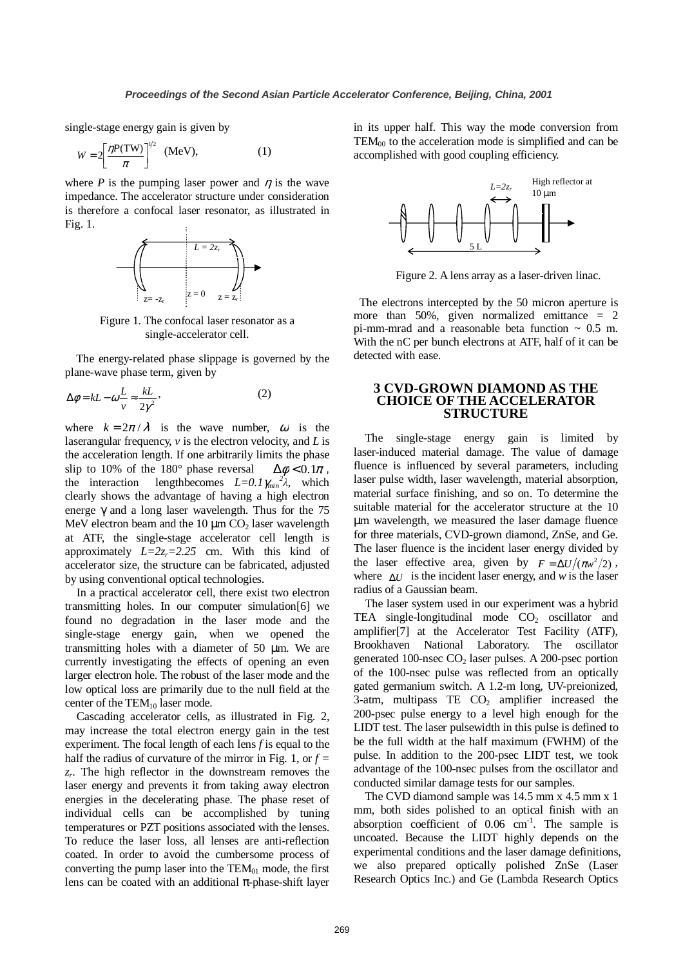single-stage energy gain is given by

$$
W = 2\left[\frac{\eta P(TW)}{\pi}\right]^{1/2} \quad (\text{MeV}), \tag{1}
$$

where *P* is the pumping laser power and  $\eta$  is the wave impedance. The accelerator structure under consideration is therefore a confocal laser resonator, as illustrated in Fig. 1.



Figure 1. The confocal laser resonator as a single-accelerator cell.

The energy-related phase slippage is governed by the plane-wave phase term, given by

$$
\Delta \phi = kL - \omega \frac{L}{v} \approx \frac{kL}{2\gamma^2},\tag{2}
$$

where  $k = 2\pi/\lambda$  is the wave number,  $\omega$  is the laserangular frequency, *v* is the electron velocity, and *L* is the acceleration length. If one arbitrarily limits the phase slip to 10% of the 180° phase reversal  $\Delta \phi < 0.1\pi$ , the interaction lengthbecomes  $L=0.1\gamma_{min}^2\lambda$ , which clearly shows the advantage of having a high electron energe  $\gamma$  and a long laser wavelength. Thus for the 75 MeV electron beam and the  $10 \mu m CO<sub>2</sub>$  laser wavelength at ATF, the single-stage accelerator cell length is approximately  $L=2z_r=2.25$  cm. With this kind of accelerator size, the structure can be fabricated, adjusted by using conventional optical technologies.

In a practical accelerator cell, there exist two electron transmitting holes. In our computer simulation[6] we found no degradation in the laser mode and the single-stage energy gain, when we opened the transmitting holes with a diameter of 50 µm. We are currently investigating the effects of opening an even larger electron hole. The robust of the laser mode and the low optical loss are primarily due to the null field at the center of the  $TEM_{10}$  laser mode.

Cascading accelerator cells, as illustrated in Fig. 2, may increase the total electron energy gain in the test experiment. The focal length of each lens *f* is equal to the half the radius of curvature of the mirror in Fig. 1, or  $f =$ *zr*. The high reflector in the downstream removes the laser energy and prevents it from taking away electron energies in the decelerating phase. The phase reset of individual cells can be accomplished by tuning temperatures or PZT positions associated with the lenses. To reduce the laser loss, all lenses are anti-reflection coated. In order to avoid the cumbersome process of converting the pump laser into the  $TEM_{01}$  mode, the first lens can be coated with an additional  $\pi$ -phase-shift layer in its upper half. This way the mode conversion from  $TEM_{00}$  to the acceleration mode is simplified and can be accomplished with good coupling efficiency.



Figure 2. A lens array as a laser-driven linac.

 The electrons intercepted by the 50 micron aperture is more than 50%, given normalized emittance  $= 2$ pi-mm-mrad and a reasonable beta function  $\sim$  0.5 m. With the nC per bunch electrons at ATF, half of it can be detected with ease.

## **3 CVD-GROWN DIAMOND AS THE CHOICE OF THE ACCELERATOR STRUCTURE**

The single-stage energy gain is limited by laser-induced material damage. The value of damage fluence is influenced by several parameters, including laser pulse width, laser wavelength, material absorption, material surface finishing, and so on. To determine the suitable material for the accelerator structure at the 10 µm wavelength, we measured the laser damage fluence for three materials, CVD-grown diamond, ZnSe, and Ge. The laser fluence is the incident laser energy divided by the laser effective area, given by  $F = \Delta U / (\pi w^2 / 2)$ , where ∆*U* is the incident laser energy, and *w* is the laser radius of a Gaussian beam.

The laser system used in our experiment was a hybrid TEA single-longitudinal mode  $CO<sub>2</sub>$  oscillator and amplifier[7] at the Accelerator Test Facility (ATF), Brookhaven National Laboratory. The oscillator generated 100-nsec  $CO<sub>2</sub>$  laser pulses. A 200-psec portion of the 100-nsec pulse was reflected from an optically gated germanium switch. A 1.2-m long, UV-preionized, 3-atm, multipass TE  $CO<sub>2</sub>$  amplifier increased the 200-psec pulse energy to a level high enough for the LIDT test. The laser pulsewidth in this pulse is defined to be the full width at the half maximum (FWHM) of the pulse. In addition to the 200-psec LIDT test, we took advantage of the 100-nsec pulses from the oscillator and conducted similar damage tests for our samples.

The CVD diamond sample was 14.5 mm x 4.5 mm x 1 mm, both sides polished to an optical finish with an absorption coefficient of  $0.06 \text{ cm}^{-1}$ . The sample is uncoated. Because the LIDT highly depends on the experimental conditions and the laser damage definitions, we also prepared optically polished ZnSe (Laser Research Optics Inc.) and Ge (Lambda Research Optics